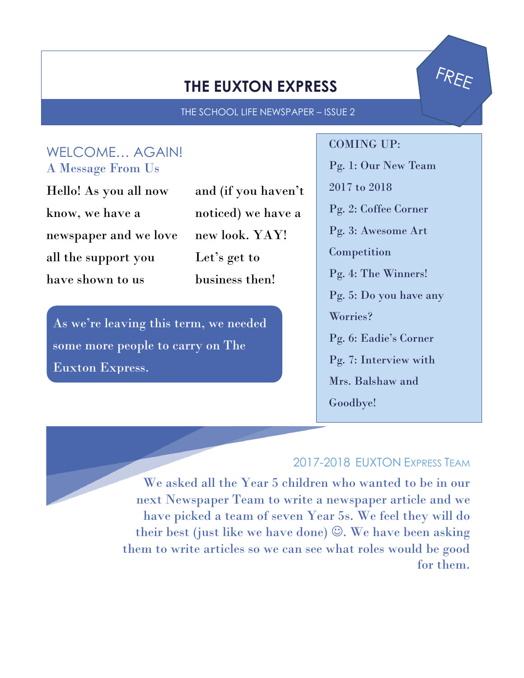# **THE EUXTON EXPRESS**

THE SCHOOL LIFE NEWSPAPER – ISSUE 2

### WELCOME… AGAIN! A Message From Us

Hello! As you all now know, we have a newspaper and we love all the support you have shown to us

and (if you haven't noticed) we have a new look. YAY! Let's get to business then!

As we're leaving this term, we needed some more people to carry on The Euxton Express.

COMING UP: Pg. 1: Our New Team 2017 to 2018 Pg. 2: Coffee Corner Pg. 3: Awesome Art **Competition** Pg. 4: The Winners! Pg. 5: Do you have any Worries? Pg. 6: Eadie's Corner Pg. 7: Interview with Mrs. Balshaw and Goodbye!

FREE

### 2017-2018 EUXTON EXPRESS TEAM

We asked all the Year 5 children who wanted to be in our next Newspaper Team to write a newspaper article and we have picked a team of seven Year 5s. We feel they will do their best (just like we have done)  $\mathbb{O}$ . We have been asking them to write articles so we can see what roles would be good for them.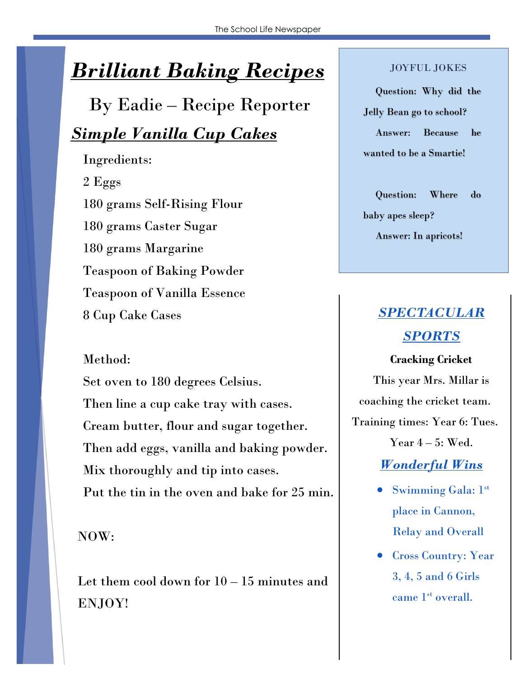# *Brilliant Baking Recipes*

By Eadie – Recipe Reporter

# *Simple Vanilla Cup Cakes*

Ingredients: 2 Eggs 180 grams Self-Rising Flour 180 grams Caster Sugar 180 grams Margarine Teaspoon of Baking Powder Teaspoon of Vanilla Essence 8 Cup Cake Cases

### Method:

Set oven to 180 degrees Celsius. Then line a cup cake tray with cases. Cream butter, flour and sugar together. Then add eggs, vanilla and baking powder. Mix thoroughly and tip into cases. Put the tin in the oven and bake for 25 min.

### NOW:

 Let them cool down for 10 – 15 minutes and ENJOY!

#### JOYFUL JOKES

Question: Why did the Jelly Bean go to school?

Answer: Because he wanted to be a Smartie!

Question: Where do

baby apes sleep?

Answer: In apricots!

# *SPECTACULAR SPORTS*

**Cracking Cricket** This year Mrs. Millar is coaching the cricket team. Training times: Year 6: Tues. Year  $4-5$ : Wed. *Wonderful Wins*

- Swimming Gala: 1st place in Cannon, Relay and Overall
- Cross Country: Year 3, 4, 5 and 6 Girls came 1<sup>st</sup> overall.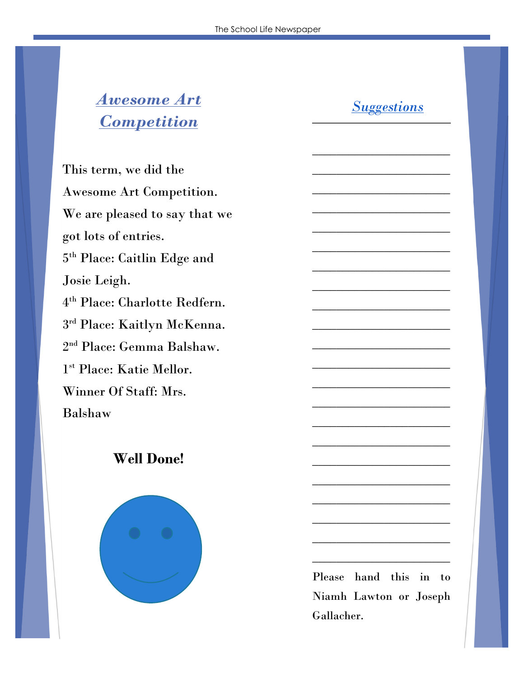*Awesome Art Competition*

*Suggestions*

\_\_\_\_\_\_\_\_\_\_\_\_\_\_\_\_\_\_\_\_\_\_\_

\_\_\_\_\_\_\_\_\_\_\_\_\_\_\_\_\_\_\_\_\_\_\_

\_\_\_\_\_\_\_\_\_\_\_\_\_\_\_\_\_\_\_\_\_\_\_

\_\_\_\_\_\_\_\_\_\_\_\_\_\_\_\_\_\_\_\_\_\_\_

\_\_\_\_\_\_\_\_\_\_\_\_\_\_\_\_\_\_\_\_\_\_\_

\_\_\_\_\_\_\_\_\_\_\_\_\_\_\_\_\_\_\_\_\_\_\_

\_\_\_\_\_\_\_\_\_\_\_\_\_\_\_\_\_\_\_\_\_\_\_

\_\_\_\_\_\_\_\_\_\_\_\_\_\_\_\_\_\_\_\_\_\_\_

\_\_\_\_\_\_\_\_\_\_\_\_\_\_\_\_\_\_\_\_\_\_\_

\_\_\_\_\_\_\_\_\_\_\_\_\_\_\_\_\_\_\_\_\_\_\_

\_\_\_\_\_\_\_\_\_\_\_\_\_\_\_\_\_\_\_\_\_\_\_

\_\_\_\_\_\_\_\_\_\_\_\_\_\_\_\_\_\_\_\_\_\_\_

\_\_\_\_\_\_\_\_\_\_\_\_\_\_\_\_\_\_\_\_\_\_\_

\_\_\_\_\_\_\_\_\_\_\_\_\_\_\_\_\_\_\_\_\_\_\_

\_\_\_\_\_\_\_\_\_\_\_\_\_\_\_\_\_\_\_\_\_\_\_

\_\_\_\_\_\_\_\_\_\_\_\_\_\_\_\_\_\_\_\_\_\_\_

\_\_\_\_\_\_\_\_\_\_\_\_\_\_\_\_\_\_\_\_\_\_\_

\_\_\_\_\_\_\_\_\_\_\_\_\_\_\_\_\_\_\_\_\_\_\_

\_\_\_\_\_\_\_\_\_\_\_\_\_\_\_\_\_\_\_\_\_\_\_

\_\_\_\_\_\_\_\_\_\_\_\_\_\_\_\_\_\_\_\_\_\_\_

\_\_\_\_\_\_\_\_\_\_\_\_\_\_\_\_\_\_\_\_\_\_\_

\_\_\_\_\_\_\_\_\_\_\_\_\_\_\_\_\_\_\_\_\_\_\_

This term, we did the Awesome Art Competition. We are pleased to say that we got lots of entries. 5 th Place: Caitlin Edge and Josie Leigh. 4 th Place: Charlotte Redfern.  $3<sup>rd</sup>$  Place: Kaitlyn McKenna. 2 nd Place: Gemma Balshaw. 1 st Place: Katie Mellor. Winner Of Staff: Mrs. Balshaw

### **Well Done!**



Please hand this in to Niamh Lawton or Joseph Gallacher.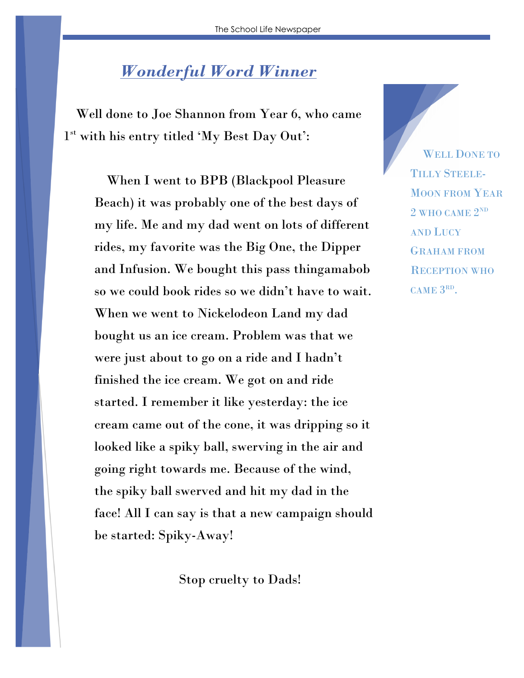# *Wonderful Word Winner*

Well done to Joe Shannon from Year 6, who came 1<sup>st</sup> with his entry titled 'My Best Day Out':

When I went to BPB (Blackpool Pleasure Beach) it was probably one of the best days of my life. Me and my dad went on lots of different rides, my favorite was the Big One, the Dipper and Infusion. We bought this pass thingamabob so we could book rides so we didn't have to wait. When we went to Nickelodeon Land my dad bought us an ice cream. Problem was that we were just about to go on a ride and I hadn't finished the ice cream. We got on and ride started. I remember it like yesterday: the ice cream came out of the cone, it was dripping so it looked like a spiky ball, swerving in the air and going right towards me. Because of the wind, the spiky ball swerved and hit my dad in the face! All I can say is that a new campaign should be started: Spiky-Away!

Stop cruelty to Dads!

WELL DONE TO TILLY STEELE-MOON FROM YEAR  $2$  WHO CAME  $2^{\text{ND}}$ AND LUCY GRAHAM FROM RECEPTION WHO CAME 3<sup>RD</sup>.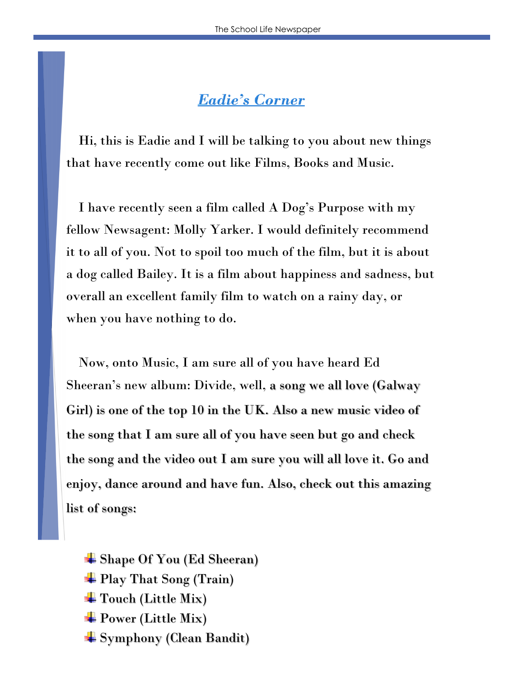### **Eadie's Corner**

Hi, this is Eadie and I will be talking to you about new things that have recently come out like Films, Books and Music.

I have recently seen a film called A Dog's Purpose with my fellow Newsagent: Molly Yarker. I would definitely recommend it to all of you. Not to spoil too much of the film, but it is about a dog called Bailey. It is a film about happiness and sadness, but overall an excellent family film to watch on a rainy day, or when you have nothing to do.

Now, onto Music, I am sure all of you have heard Ed Sheeran's new album: Divide, well, a song we all love (Galway Girl) is one of the top 10 in the UK. Also a new music video of the song that I am sure all of you have seen but go and check the song and the video out I am sure you will all love it. Go and enjoy, dance around and have fun. Also, check out this amazing list of songs:

Shape Of You (Ed Sheeran) Play That Song (Train) Touch (Little Mix)  $\blacktriangleright$  Power (Little Mix) Symphony (Clean Bandit)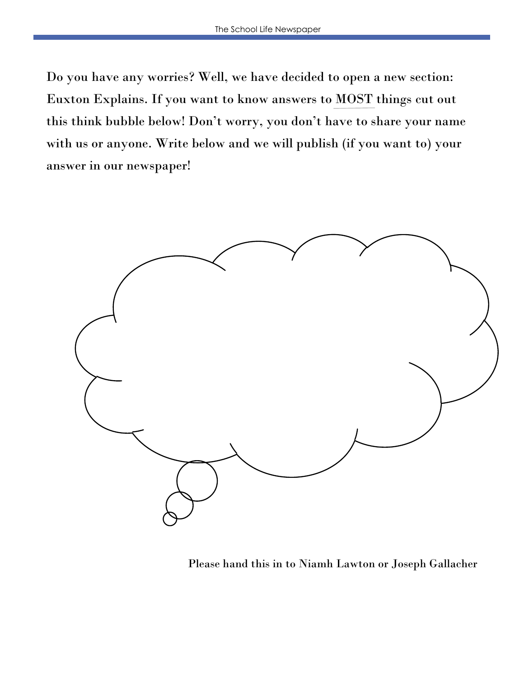Do you have any worries? Well, we have decided to open a new section: Euxton Explains. If you want to know answers to MOST things cut out this think bubble below! Don't worry, you don't have to share your name with us or anyone. Write below and we will publish (if you want to) your answer in our newspaper!



Please hand this in to Niamh Lawton or Joseph Gallacher